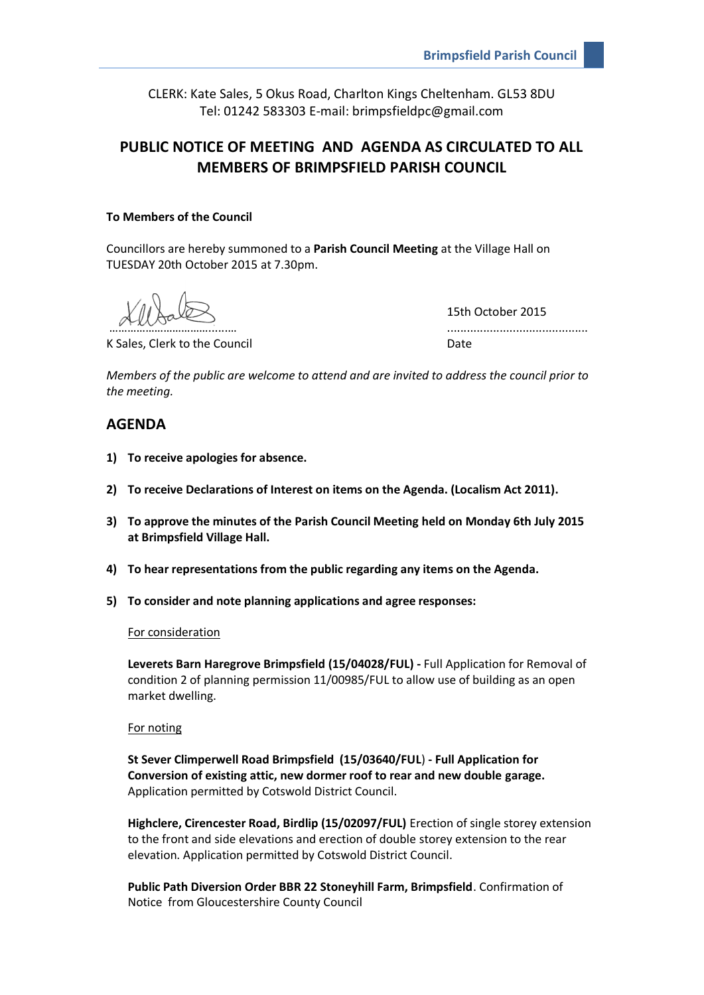CLERK: Kate Sales, 5 Okus Road, Charlton Kings Cheltenham. GL53 8DU Tel: 01242 583303 E-mail: brimpsfieldpc@gmail.com

# **PUBLIC NOTICE OF MEETING AND AGENDA AS CIRCULATED TO ALL MEMBERS OF BRIMPSFIELD PARISH COUNCIL**

# **To Members of the Council**

Councillors are hereby summoned to a **Parish Council Meeting** at the Village Hall on TUESDAY 20th October 2015 at 7.30pm.

K Sales, Clerk to the Council Date Council Date

15th October 2015 ……………………………......… ...........................................

*Members of the public are welcome to attend and are invited to address the council prior to the meeting.*

# **AGENDA**

- **1) To receive apologies for absence.**
- **2) To receive Declarations of Interest on items on the Agenda. (Localism Act 2011).**
- **3) To approve the minutes of the Parish Council Meeting held on Monday 6th July 2015 at Brimpsfield Village Hall.**
- **4) To hear representations from the public regarding any items on the Agenda.**
- **5) To consider and note planning applications and agree responses:**

#### For consideration

**Leverets Barn Haregrove Brimpsfield (15/04028/FUL) -** Full Application for Removal of condition 2 of planning permission 11/00985/FUL to allow use of building as an open market dwelling.

#### For noting

**St Sever Climperwell Road Brimpsfield (15/03640/FUL**) **- Full Application for Conversion of existing attic, new dormer roof to rear and new double garage.** Application permitted by Cotswold District Council.

**Highclere, Cirencester Road, Birdlip (15/02097/FUL)** Erection of single storey extension to the front and side elevations and erection of double storey extension to the rear elevation. Application permitted by Cotswold District Council.

**Public Path Diversion Order BBR 22 Stoneyhill Farm, Brimpsfield**. Confirmation of Notice from Gloucestershire County Council